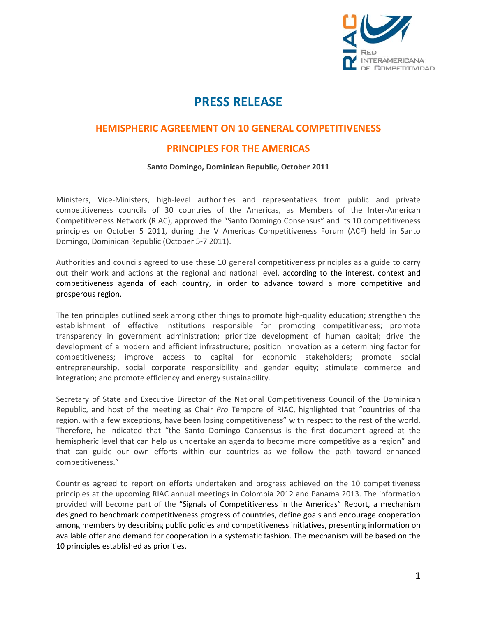

## **PRESS RELEASE**

## **HEMISPHERIC AGREEMENT ON 10 GENERAL COMPETITIVENESS**

## **PRINCIPLES FOR THE AMERICAS**

## **Santo Domingo, Dominican Republic, October 2011**

Ministers, Vice‐Ministers, high‐level authorities and representatives from public and private competitiveness councils of 30 countries of the Americas, as Members of the Inter‐American Competitiveness Network (RIAC), approved the "Santo Domingo Consensus" and its 10 competitiveness principles on October 5 2011, during the V Americas Competitiveness Forum (ACF) held in Santo Domingo, Dominican Republic (October 5‐7 2011).

Authorities and councils agreed to use these 10 general competitiveness principles as a guide to carry out their work and actions at the regional and national level, according to the interest, context and competitiveness agenda of each country, in order to advance toward a more competitive and prosperous region.

The ten principles outlined seek among other things to promote high-quality education; strengthen the establishment of effective institutions responsible for promoting competitiveness; promote transparency in government administration; prioritize development of human capital; drive the development of a modern and efficient infrastructure; position innovation as a determining factor for competitiveness; improve access to capital for economic stakeholders; promote social entrepreneurship, social corporate responsibility and gender equity; stimulate commerce and integration; and promote efficiency and energy sustainability.

Secretary of State and Executive Director of the National Competitiveness Council of the Dominican Republic, and host of the meeting as Chair *Pro* Tempore of RIAC, highlighted that "countries of the region, with a few exceptions, have been losing competitiveness" with respect to the rest of the world. Therefore, he indicated that "the Santo Domingo Consensus is the first document agreed at the hemispheric level that can help us undertake an agenda to become more competitive as a region" and that can guide our own efforts within our countries as we follow the path toward enhanced competitiveness."

Countries agreed to report on efforts undertaken and progress achieved on the 10 competitiveness principles at the upcoming RIAC annual meetings in Colombia 2012 and Panama 2013. The information provided will become part of the "Signals of Competitiveness in the Americas" Report, a mechanism designed to benchmark competitiveness progress of countries, define goals and encourage cooperation among members by describing public policies and competitiveness initiatives, presenting information on available offer and demand for cooperation in a systematic fashion. The mechanism will be based on the 10 principles established as priorities.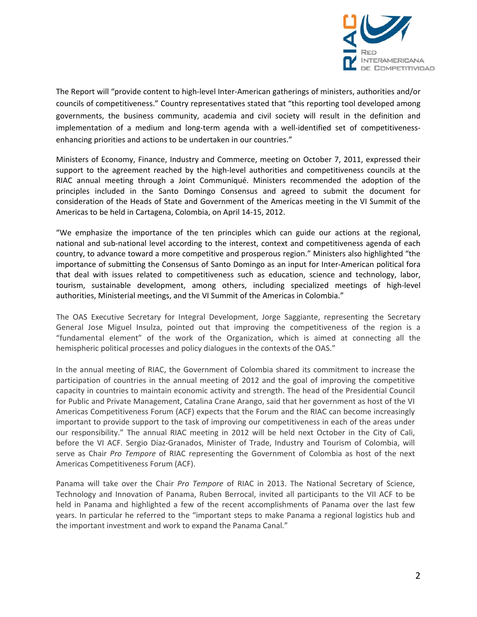

The Report will "provide content to high‐level Inter‐American gatherings of ministers, authorities and/or councils of competitiveness." Country representatives stated that "this reporting tool developed among governments, the business community, academia and civil society will result in the definition and implementation of a medium and long-term agenda with a well-identified set of competitivenessenhancing priorities and actions to be undertaken in our countries."

Ministers of Economy, Finance, Industry and Commerce, meeting on October 7, 2011, expressed their support to the agreement reached by the high-level authorities and competitiveness councils at the RIAC annual meeting through a Joint Communiqué. Ministers recommended the adoption of the principles included in the Santo Domingo Consensus and agreed to submit the document for consideration of the Heads of State and Government of the Americas meeting in the VI Summit of the Americas to be held in Cartagena, Colombia, on April 14‐15, 2012.

"We emphasize the importance of the ten principles which can guide our actions at the regional, national and sub-national level according to the interest, context and competitiveness agenda of each country, to advance toward a more competitive and prosperous region." Ministers also highlighted "the importance of submitting the Consensus of Santo Domingo as an input for Inter-American political fora that deal with issues related to competitiveness such as education, science and technology, labor, tourism, sustainable development, among others, including specialized meetings of high‐level authorities, Ministerial meetings, and the VI Summit of the Americas in Colombia."

The OAS Executive Secretary for Integral Development, Jorge Saggiante, representing the Secretary General Jose Miguel Insulza, pointed out that improving the competitiveness of the region is a "fundamental element" of the work of the Organization, which is aimed at connecting all the hemispheric political processes and policy dialogues in the contexts of the OAS."

In the annual meeting of RIAC, the Government of Colombia shared its commitment to increase the participation of countries in the annual meeting of 2012 and the goal of improving the competitive capacity in countries to maintain economic activity and strength. The head of the Presidential Council for Public and Private Management, Catalina Crane Arango, said that her government as host of the VI Americas Competitiveness Forum (ACF) expects that the Forum and the RIAC can become increasingly important to provide support to the task of improving our competitiveness in each of the areas under our responsibility." The annual RIAC meeting in 2012 will be held next October in the City of Cali, before the VI ACF. Sergio Díaz‐Granados, Minister of Trade, Industry and Tourism of Colombia, will serve as Chair *Pro Tempore* of RIAC representing the Government of Colombia as host of the next Americas Competitiveness Forum (ACF).

Panama will take over the Chair *Pro Tempore* of RIAC in 2013. The National Secretary of Science, Technology and Innovation of Panama, Ruben Berrocal, invited all participants to the VII ACF to be held in Panama and highlighted a few of the recent accomplishments of Panama over the last few years. In particular he referred to the "important steps to make Panama a regional logistics hub and the important investment and work to expand the Panama Canal."